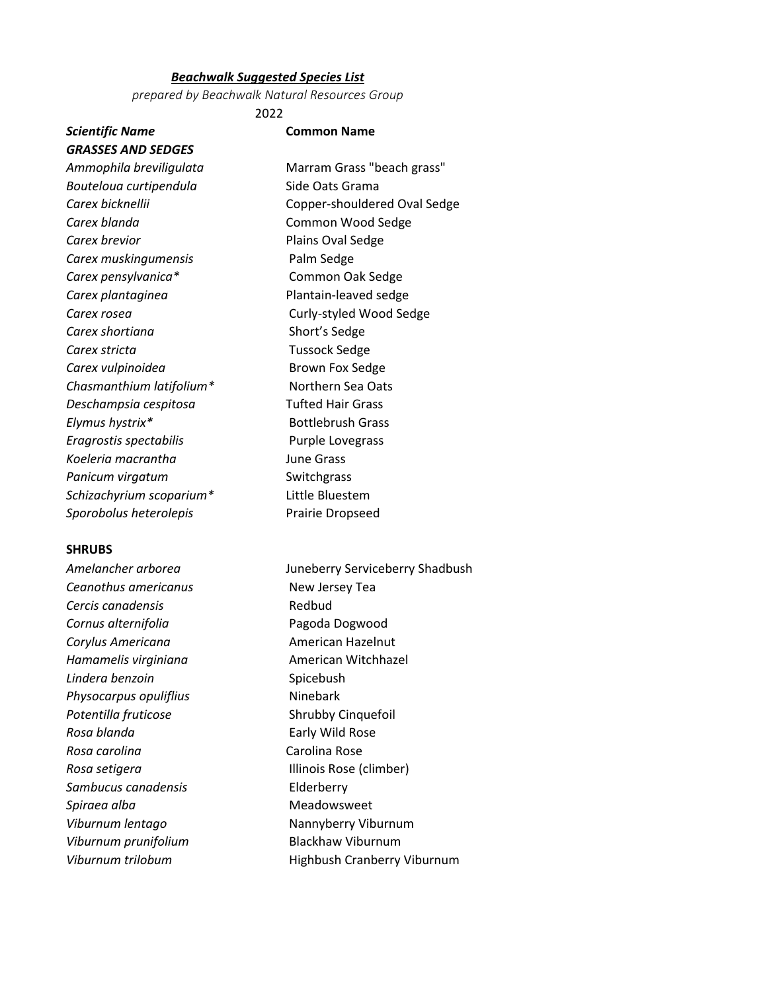#### *Beachwalk Suggested Species List*

*prepared by Beachwalk Natural Resources Group*

2022

## *Scientific Name* **Common Name** *GRASSES AND SEDGES*

*Ammophila breviligulata* Marram Grass "beach grass" *Bouteloua curtipendula* Side Oats Grama *Carex bicknellii* Copper-shouldered Oval Sedge **Carex blanda** Common Wood Sedge **Carex brevior Plains Oval Sedge** *Carex muskingumensis* Palm Sedge *Carex pensylvanica\** Common Oak Sedge *Carex plantaginea* Plantain-leaved sedge **Carex rosea** Curly-styled Wood Sedge **Carex shortiana** Short's Sedge **Carex stricta** Carex **Tussock** Sedge **Carex vulpinoidea** Brown Fox Sedge *Chasmanthium latifolium\** Northern Sea Oats *Deschampsia cespitosa* Tufted Hair Grass **Elymus hystrix\*** Bottlebrush Grass *Eragrostis spectabilis* Purple Lovegrass *Koeleria macrantha* June Grass **Panicum virgatum** Switchgrass *Schizachyrium scoparium\** Little Bluestem *Sporobolus heterolepis* Prairie Dropseed

### **SHRUBS**

*Ceanothus americanus* New Jersey Tea **Cercis canadensis** Redbud *Cornus alternifolia* Pagoda Dogwood **Corylus Americana American Hazelnut** *Hamamelis virginiana* **American Witchhazel Lindera benzoin** Spicebush **Physocarpus opuliflius** Ninebark *Potentilla fruticose* Shrubby Cinquefoil *Rosa blanda* Early Wild Rose *Rosa carolina* Carolina Rose **Rosa setigera Illinois Rose (climber)** *Sambucus canadensis* Elderberry Spiraea alba<br>
Meadowsweet *Viburnum lentago* Nannyberry Viburnum *Viburnum prunifolium* Blackhaw Viburnum

*Amelancher arborea* Juneberry Serviceberry Shadbush *Viburnum trilobum* Highbush Cranberry Viburnum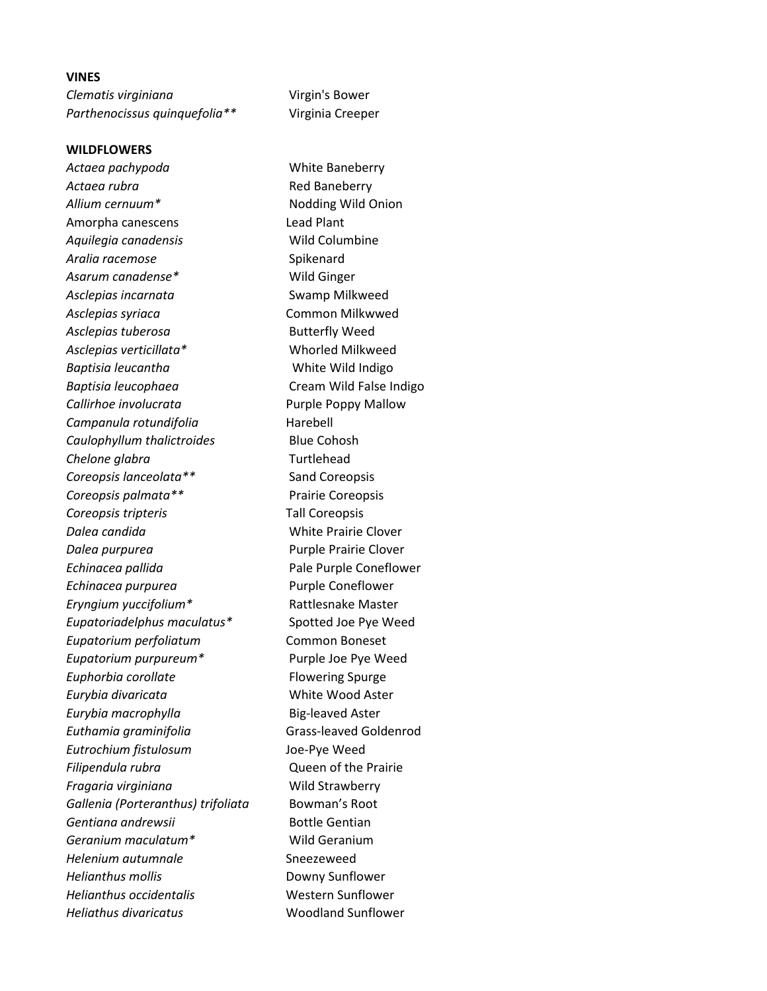#### **VINES**

*Clematis virginiana* Virgin's Bower *Parthenocissus quinquefolia\*\** Virginia Creeper

#### **WILDFLOWERS**

*Actaea pachypoda* White Baneberry Actaea rubra **Red Baneberry** *Allium cernuum\** Nodding Wild Onion Amorpha canescens Lead Plant Aquilegia canadensis **Wild Columbine** Aralia racemose Spikenard Asarum canadense\* Wild Ginger Asclepias incarnata **SWAMP** Swamp Milkweed *Asclepias syriaca* Common Milkwwed Asclepias tuberosa **Butterfly Weed** *Asclepias verticillata\** Whorled Milkweed **Baptisia leucantha** White Wild Indigo *Baptisia leucophaea* Cream Wild False Indigo *Callirhoe involucrata* Purple Poppy Mallow *Campanula rotundifolia* Harebell *Caulophyllum thalictroides* Blue Cohosh *Chelone glabra* Turtlehead *Coreopsis lanceolata\*\** Sand Coreopsis *Coreopsis palmata\*\** Prairie Coreopsis *Coreopsis tripteris* Tall Coreopsis *Dalea candida* White Prairie Clover *Dalea purpurea* Purple Prairie Clover *Echinacea pallida* Pale Purple Coneflower **Echinacea purpurea** Purple Coneflower *Eryngium yuccifolium\** Rattlesnake Master *Eupatoriadelphus maculatus\** Spotted Joe Pye Weed *Eupatorium perfoliatum* Common Boneset *Eupatorium purpureum\** Purple Joe Pye Weed **Euphorbia corollate** Flowering Spurge *Eurybia divaricata* White Wood Aster **Eurybia macrophylla** Big-leaved Aster **Euthamia graminifolia** Grass-leaved Goldenrod *Eutrochium fistulosum* Joe-Pye Weed *Filipendula rubra* Queen of the Prairie *Fragaria virginiana* Wild Strawberry *Gallenia (Porteranthus) trifoliata* Bowman's Root Gentiana andrewsii **Bottle Gentian** *Geranium maculatum\** Wild Geranium *Helenium autumnale* Sneezeweed *Helianthus mollis* Downy Sunflower *Helianthus occidentalis* Western Sunflower *Heliathus divaricatus* Woodland Sunflower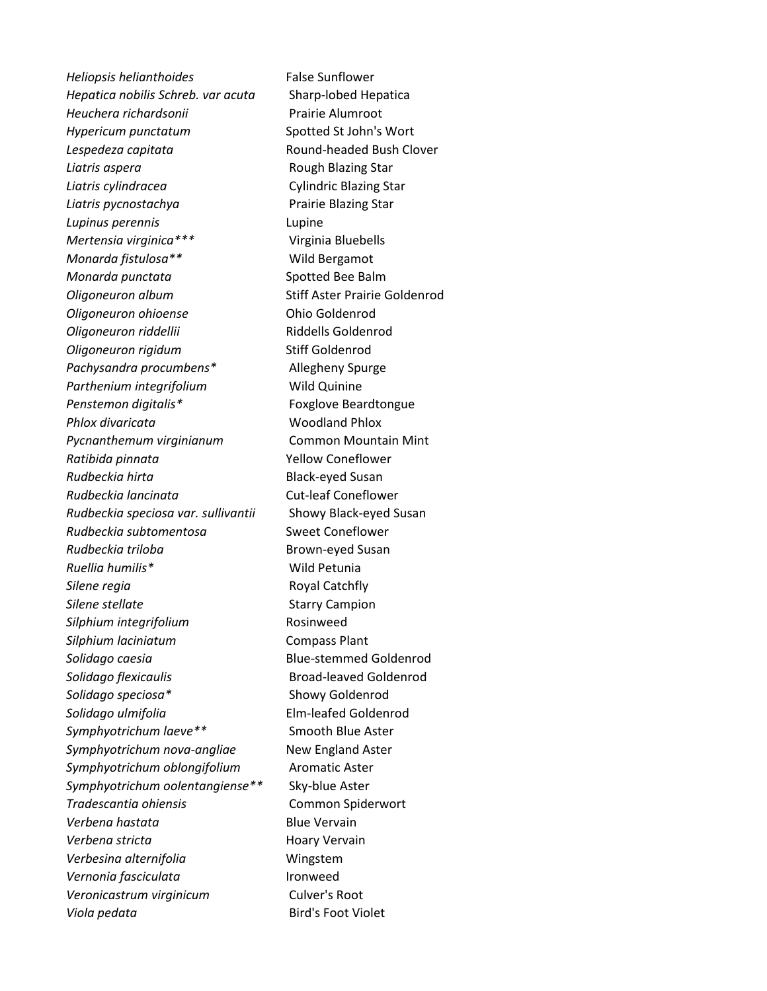*Heliopsis helianthoides* False Sunflower *Hepatica nobilis Schreb. var acuta* Sharp-lobed Hepatica *Heuchera richardsonii* Prairie Alumroot *Hypericum punctatum* Spotted St John's Wort Lespedeza capitata **Round-headed Bush Clover Liatris aspera Rough Blazing Star** *Liatris cylindracea* Cylindric Blazing Star *Liatris pycnostachya* Prairie Blazing Star *Lupinus perennis* Lupine *Mertensia virginica\*\*\** Virginia Bluebells *Monarda fistulosa\*\** Wild Bergamot *Monarda punctata* Spotted Bee Balm **Oligoneuron album** Stiff Aster Prairie Goldenrod *Oligoneuron ohioense* Ohio Goldenrod *Oligoneuron riddellii* Riddells Goldenrod **Oligoneuron rigidum** Stiff Goldenrod *Pachysandra procumbens\** Allegheny Spurge Parthenium integrifolium **Wild Quinine** Penstemon digitalis<sup>\*</sup> Foxglove Beardtongue *Phlox divaricata* Woodland Phlox *Pycnanthemum virginianum* Common Mountain Mint *Ratibida pinnata* Yellow Coneflower *Rudbeckia hirta* Black-eyed Susan *Rudbeckia lancinata* Cut-leaf Coneflower *Rudbeckia speciosa var. sullivantii* Showy Black-eyed Susan *Rudbeckia subtomentosa* Sweet Coneflower **Rudbeckia triloba** Brown-eyed Susan *Ruellia humilis\** Wild Petunia **Silene regia** Royal Catchfly **Silene stellate** Silene Starry Campion **Silphium integrifolium** Rosinweed *Silphium laciniatum* Compass Plant *Solidago caesia* Blue-stemmed Goldenrod *Solidago flexicaulis* Broad-leaved Goldenrod *Solidago speciosa\** Showy Goldenrod *Solidago ulmifolia* Elm-leafed Goldenrod *Symphyotrichum laeve\*\** Smooth Blue Aster *Symphyotrichum nova-angliae* New England Aster *Symphyotrichum oblongifolium* Aromatic Aster *Symphyotrichum oolentangiense\*\** Sky-blue Aster *Tradescantia ohiensis* Common Spiderwort *Verbena hastata* Blue Vervain Verbena stricta **Markal** Hoary Vervain *Verbesina alternifolia* Wingstem *Vernonia fasciculata* Ironweed Veronicastrum virginicum<br>
Culver's Root *Viola pedata* Bird's Foot Violet